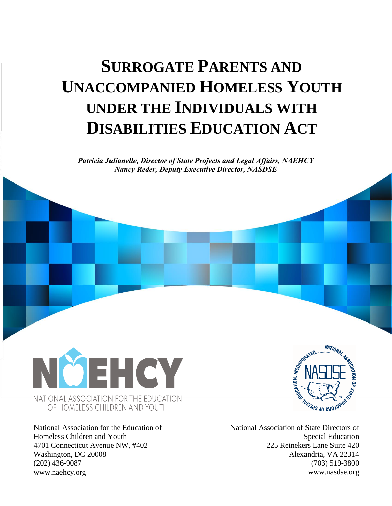# **SURROGATE PARENTS AND UNACCOMPANIED HOMELESS YOUTH UNDER THE INDIVIDUALS WITH DISABILITIES EDUCATION ACT**

*Patricia Julianelle, Director of State Projects and Legal Affairs, NAEHCY Nancy Reder, Deputy Executive Director, NASDSE*



National Association for the Education of Homeless Children and Youth 4701 Connecticut Avenue NW, #402 Washington, DC 20008 (202) 436-9087 www.naehcy.org



National Association of State Directors of Special Education 225 Reinekers Lane Suite 420 Alexandria, VA 22314 (703) 519-3800 www.nasdse.org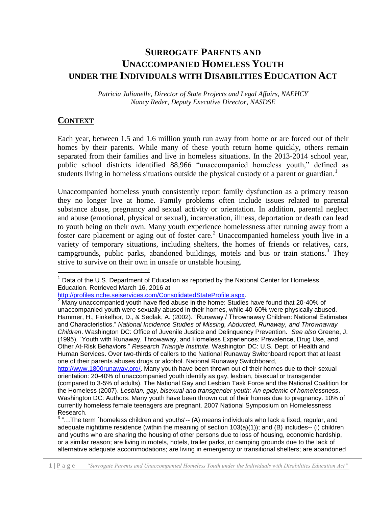## **SURROGATE PARENTS AND UNACCOMPANIED HOMELESS YOUTH UNDER THE INDIVIDUALS WITH DISABILITIES EDUCATION ACT**

*Patricia Julianelle, Director of State Projects and Legal Affairs, NAEHCY Nancy Reder, Deputy Executive Director, NASDSE* 

#### **CONTEXT**

l

Each year, between 1.5 and 1.6 million youth run away from home or are forced out of their homes by their parents. While many of these youth return home quickly, others remain separated from their families and live in homeless situations. In the 2013-2014 school year, public school districts identified 88,966 "unaccompanied homeless youth," defined as students living in homeless situations outside the physical custody of a parent or guardian.<sup>1</sup>

Unaccompanied homeless youth consistently report family dysfunction as a primary reason they no longer live at home. Family problems often include issues related to parental substance abuse, pregnancy and sexual activity or orientation. In addition, parental neglect and abuse (emotional, physical or sexual), incarceration, illness, deportation or death can lead to youth being on their own. Many youth experience homelessness after running away from a foster care placement or aging out of foster care.<sup>2</sup> Unaccompanied homeless youth live in a variety of temporary situations, including shelters, the homes of friends or relatives, cars, campgrounds, public parks, abandoned buildings, motels and bus or train stations.<sup>3</sup> They strive to survive on their own in unsafe or unstable housing.

Data of the U.S. Department of Education as reported by the National Center for Homeless Education. Retrieved March 16, 2016 at

[http://profiles.nche.seiservices.com/ConsolidatedStateProfile.aspx.](http://profiles.nche.seiservices.com/ConsolidatedStateProfile.aspx)

<sup>2</sup> Many unaccompanied youth have fled abuse in the home: Studies have found that 20-40% of unaccompanied youth were sexually abused in their homes, while 40-60% were physically abused. Hammer, H., Finkelhor, D., & Sedlak, A. (2002). "Runaway / Thrownaway Children: National Estimates and Characteristics." *National Incidence Studies of Missing, Abducted, Runaway, and Thrownaway Children*. Washington DC: Office of Juvenile Justice and Delinquency Prevention. *See also* Greene, J. (1995). "Youth with Runaway, Throwaway, and Homeless Experiences: Prevalence, Drug Use, and Other At-Risk Behaviors." *Research Triangle Institute.* Washington DC: U.S. Dept. of Health and Human Services. Over two-thirds of callers to the National Runaway Switchboard report that at least one of their parents abuses drugs or alcohol. National Runaway Switchboard,

[http://www.1800runaway.org/.](http://www.1800runaway.org/) Many youth have been thrown out of their homes due to their sexual orientation: 20-40% of unaccompanied youth identify as gay, lesbian, bisexual or transgender (compared to 3-5% of adults). The National Gay and Lesbian Task Force and the National Coalition for the Homeless (2007). *Lesbian, gay, bisexual and transgender youth: An epidemic of homelessness*. Washington DC: Authors. Many youth have been thrown out of their homes due to pregnancy. 10% of currently homeless female teenagers are pregnant. 2007 National Symposium on Homelessness Research.

 $3$  "...The term `homeless children and youths'-- (A) means individuals who lack a fixed, regular, and adequate nighttime residence (within the meaning of section 103(a)(1)); and (B) includes-- (i) children and youths who are sharing the housing of other persons due to loss of housing, economic hardship, or a similar reason; are living in motels, hotels, trailer parks, or camping grounds due to the lack of alternative adequate accommodations; are living in emergency or transitional shelters; are abandoned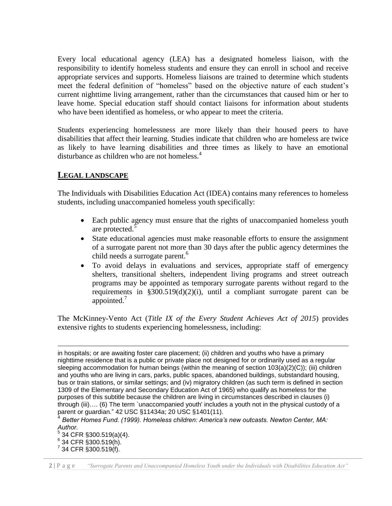Every local educational agency (LEA) has a designated homeless liaison, with the responsibility to identify homeless students and ensure they can enroll in school and receive appropriate services and supports. Homeless liaisons are trained to determine which students meet the federal definition of "homeless" based on the objective nature of each student's current nighttime living arrangement, rather than the circumstances that caused him or her to leave home. Special education staff should contact liaisons for information about students who have been identified as homeless, or who appear to meet the criteria.

Students experiencing homelessness are more likely than their housed peers to have disabilities that affect their learning. Studies indicate that children who are homeless are twice as likely to have learning disabilities and three times as likely to have an emotional disturbance as children who are not homeless.<sup>4</sup>

#### **LEGAL LANDSCAPE**

The Individuals with Disabilities Education Act (IDEA) contains many references to homeless students, including unaccompanied homeless youth specifically:

- Each public agency must ensure that the rights of unaccompanied homeless youth are protected.<sup>5</sup>
- State educational agencies must make reasonable efforts to ensure the assignment of a surrogate parent not more than 30 days after the public agency determines the child needs a surrogate parent.<sup>6</sup>
- To avoid delays in evaluations and services, appropriate staff of emergency shelters, transitional shelters, independent living programs and street outreach programs may be appointed as temporary surrogate parents without regard to the requirements in  $$300.519(d)(2)(i)$ , until a compliant surrogate parent can be appointed.<sup>7</sup>

The McKinney-Vento Act (*Title IX of the Every Student Achieves Act of 2015*) provides extensive rights to students experiencing homelessness, including:

 $\overline{a}$ 

in hospitals; or are awaiting foster care placement; (ii) children and youths who have a primary nighttime residence that is a public or private place not designed for or ordinarily used as a regular sleeping accommodation for human beings (within the meaning of section 103(a)(2)(C)); (iii) children and youths who are living in cars, parks, public spaces, abandoned buildings, substandard housing, bus or train stations, or similar settings; and (iv) migratory children (as such term is defined in section 1309 of the Elementary and Secondary Education Act of 1965) who qualify as homeless for the purposes of this subtitle because the children are living in circumstances described in clauses (i) through (iii)…. (6) The term `unaccompanied youth' includes a youth not in the physical custody of a parent or guardian." 42 USC §11434a; 20 USC §1401(11).

<sup>4</sup> *Better Homes Fund. (1999). Homeless children: America's new outcasts. Newton Center, MA: Author.* 

 $5$  34 CFR §300.519(a)(4).

 $6$  34 CFR §300.519(h).

 $7$  34 CFR  $\S$ 300.519(f).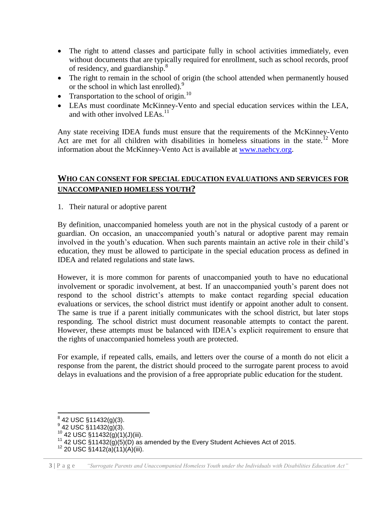- The right to attend classes and participate fully in school activities immediately, even without documents that are typically required for enrollment, such as school records, proof of residency, and guardianship.<sup>8</sup>
- The right to remain in the school of origin (the school attended when permanently housed or the school in which last enrolled).<sup>9</sup>
- Transportation to the school of origin.<sup>10</sup>
- LEAs must coordinate McKinney-Vento and special education services within the LEA, and with other involved LEAs.<sup>11</sup>

Any state receiving IDEA funds must ensure that the requirements of the McKinney-Vento Act are met for all children with disabilities in homeless situations in the state.<sup>12</sup> More information about the McKinney-Vento Act is available at [www.naehcy.org.](http://www.naehcy.org/)

#### **WHO CAN CONSENT FOR SPECIAL EDUCATION EVALUATIONS AND SERVICES FOR UNACCOMPANIED HOMELESS YOUTH?**

1. Their natural or adoptive parent

By definition, unaccompanied homeless youth are not in the physical custody of a parent or guardian. On occasion, an unaccompanied youth's natural or adoptive parent may remain involved in the youth's education. When such parents maintain an active role in their child's education, they must be allowed to participate in the special education process as defined in IDEA and related regulations and state laws.

However, it is more common for parents of unaccompanied youth to have no educational involvement or sporadic involvement, at best. If an unaccompanied youth's parent does not respond to the school district's attempts to make contact regarding special education evaluations or services, the school district must identify or appoint another adult to consent. The same is true if a parent initially communicates with the school district, but later stops responding. The school district must document reasonable attempts to contact the parent. However, these attempts must be balanced with IDEA's explicit requirement to ensure that the rights of unaccompanied homeless youth are protected.

For example, if repeated calls, emails, and letters over the course of a month do not elicit a response from the parent, the district should proceed to the surrogate parent process to avoid delays in evaluations and the provision of a free appropriate public education for the student.

<sup>&</sup>lt;u>。</u><br><sup>8</sup> 42 USC §11432(g)(3).<br><sup>9</sup> 42 USC §11432(g)(3).

 $10$  42 USC §11432(g)(1)(J)(iii).

<sup>&</sup>lt;sup>11</sup> 42 USC  $\frac{1}{5}$ 11432(g)(5)(D) as amended by the Every Student Achieves Act of 2015.

 $12$  20 USC §1412(a)(11)(A)(iii).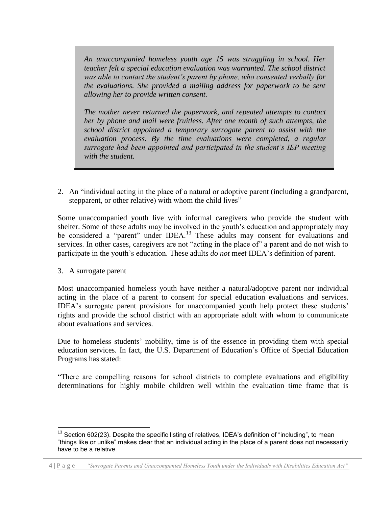*An unaccompanied homeless youth age 15 was struggling in school. Her teacher felt a special education evaluation was warranted. The school district was able to contact the student's parent by phone, who consented verbally for the evaluations. She provided a mailing address for paperwork to be sent allowing her to provide written consent.*

*The mother never returned the paperwork, and repeated attempts to contact her by phone and mail were fruitless. After one month of such attempts, the school district appointed a temporary surrogate parent to assist with the evaluation process. By the time evaluations were completed, a regular surrogate had been appointed and participated in the student's IEP meeting with the student.*

2. An "individual acting in the place of a natural or adoptive parent (including a grandparent, stepparent, or other relative) with whom the child lives"

Some unaccompanied youth live with informal caregivers who provide the student with shelter. Some of these adults may be involved in the youth's education and appropriately may be considered a "parent" under IDEA.<sup>13</sup> These adults may consent for evaluations and services. In other cases, caregivers are not "acting in the place of" a parent and do not wish to participate in the youth's education. These adults *do not* meet IDEA's definition of parent.

3. A surrogate parent

Most unaccompanied homeless youth have neither a natural/adoptive parent nor individual acting in the place of a parent to consent for special education evaluations and services. IDEA's surrogate parent provisions for unaccompanied youth help protect these students' rights and provide the school district with an appropriate adult with whom to communicate about evaluations and services.

Due to homeless students' mobility, time is of the essence in providing them with special education services. In fact, the U.S. Department of Education's Office of Special Education Programs has stated:

"There are compelling reasons for school districts to complete evaluations and eligibility determinations for highly mobile children well within the evaluation time frame that is

 $\overline{\phantom{a}}$  $13$  Section 602(23). Despite the specific listing of relatives, IDEA's definition of "including", to mean "things like or unlike" makes clear that an individual acting in the place of a parent does not necessarily have to be a relative.

**<sup>4 |</sup>** P a g e *"Surrogate Parents and Unaccompanied Homeless Youth under the Individuals with Disabilities Education Act"*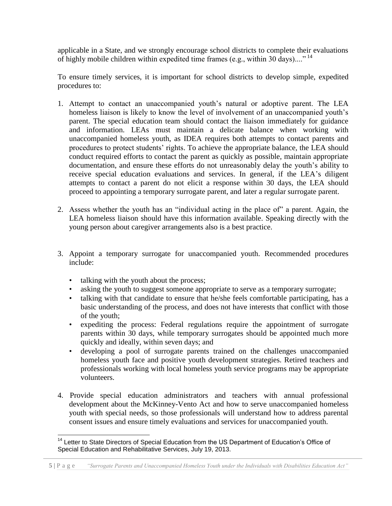applicable in a State, and we strongly encourage school districts to complete their evaluations of highly mobile children within expedited time frames (e.g., within 30 days)...."<sup>14</sup>

To ensure timely services, it is important for school districts to develop simple, expedited procedures to:

- 1. Attempt to contact an unaccompanied youth's natural or adoptive parent. The LEA homeless liaison is likely to know the level of involvement of an unaccompanied youth's parent. The special education team should contact the liaison immediately for guidance and information. LEAs must maintain a delicate balance when working with unaccompanied homeless youth, as IDEA requires both attempts to contact parents and procedures to protect students' rights. To achieve the appropriate balance, the LEA should conduct required efforts to contact the parent as quickly as possible, maintain appropriate documentation, and ensure these efforts do not unreasonably delay the youth's ability to receive special education evaluations and services. In general, if the LEA's diligent attempts to contact a parent do not elicit a response within 30 days, the LEA should proceed to appointing a temporary surrogate parent, and later a regular surrogate parent.
- 2. Assess whether the youth has an "individual acting in the place of" a parent. Again, the LEA homeless liaison should have this information available. Speaking directly with the young person about caregiver arrangements also is a best practice.
- 3. Appoint a temporary surrogate for unaccompanied youth. Recommended procedures include:
	- talking with the youth about the process;
	- asking the youth to suggest someone appropriate to serve as a temporary surrogate;
	- talking with that candidate to ensure that he/she feels comfortable participating, has a basic understanding of the process, and does not have interests that conflict with those of the youth;
	- expediting the process: Federal regulations require the appointment of surrogate parents within 30 days, while temporary surrogates should be appointed much more quickly and ideally, within seven days; and
	- developing a pool of surrogate parents trained on the challenges unaccompanied homeless youth face and positive youth development strategies. Retired teachers and professionals working with local homeless youth service programs may be appropriate volunteers.
- 4. Provide special education administrators and teachers with annual professional development about the McKinney-Vento Act and how to serve unaccompanied homeless youth with special needs, so those professionals will understand how to address parental consent issues and ensure timely evaluations and services for unaccompanied youth.

 $\overline{a}$ <sup>14</sup> Letter to State Directors of Special Education from the US Department of Education's Office of Special Education and Rehabilitative Services, July 19, 2013.

**<sup>5 |</sup>** P a g e *"Surrogate Parents and Unaccompanied Homeless Youth under the Individuals with Disabilities Education Act"*